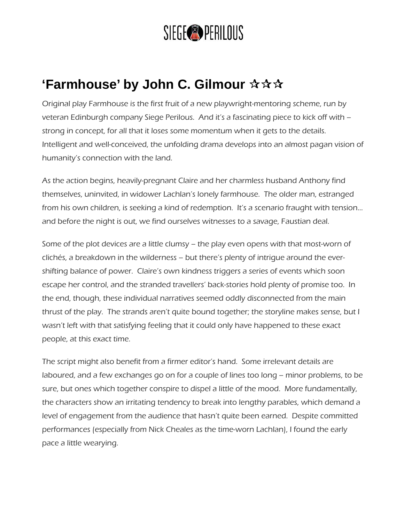## SIEGE<sup>O</sup> PERILOUS

## **'Farmhouse' by John C. Gilmour**

Original play Farmhouse is the first fruit of a new playwright-mentoring scheme, run by veteran Edinburgh company Siege Perilous. And it's a fascinating piece to kick off with – strong in concept, for all that it loses some momentum when it gets to the details. Intelligent and well-conceived, the unfolding drama develops into an almost pagan vision of humanity's connection with the land.

As the action begins, heavily-pregnant Claire and her charmless husband Anthony find themselves, uninvited, in widower Lachlan's lonely farmhouse. The older man, estranged from his own children, is seeking a kind of redemption. It's a scenario fraught with tension… and before the night is out, we find ourselves witnesses to a savage, Faustian deal.

Some of the plot devices are a little clumsy – the play even opens with that most-worn of clichés, a breakdown in the wilderness – but there's plenty of intrigue around the evershifting balance of power. Claire's own kindness triggers a series of events which soon escape her control, and the stranded travellers' back-stories hold plenty of promise too. In the end, though, these individual narratives seemed oddly disconnected from the main thrust of the play. The strands aren't quite bound together; the storyline makes sense, but I wasn't left with that satisfying feeling that it could only have happened to these exact people, at this exact time.

The script might also benefit from a firmer editor's hand. Some irrelevant details are laboured, and a few exchanges go on for a couple of lines too long – minor problems, to be sure, but ones which together conspire to dispel a little of the mood. More fundamentally, the characters show an irritating tendency to break into lengthy parables, which demand a level of engagement from the audience that hasn't quite been earned. Despite committed performances (especially from Nick Cheales as the time-worn Lachlan), I found the early pace a little wearying.